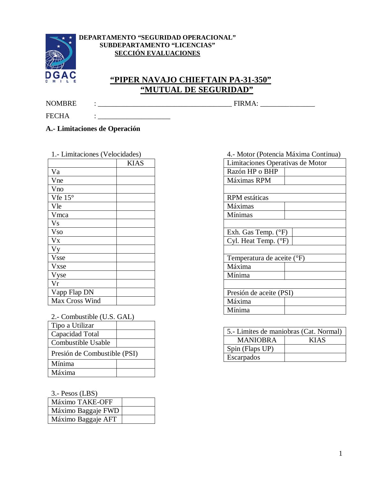

### **DEPARTAMENTO "SEGURIDAD OPERACIONAL" SUBDEPARTAMENTO "LICENCIAS" SECCIÓN EVALUACIONES**

# **"PIPER NAVAJO CHIEFTAIN PA-31-350" "MUTUAL DE SEGURIDAD"**

NOMBRE : \_\_\_\_\_\_\_\_\_\_\_\_\_\_\_\_\_\_\_\_\_\_\_\_\_\_\_\_\_\_\_\_\_\_\_\_\_ FIRMA: \_\_\_\_\_\_\_\_\_\_\_\_\_\_\_

FECHA : \_\_\_\_\_\_\_\_\_\_\_\_\_\_\_\_\_\_\_\_

**A.- Limitaciones de Operación**

|                        | <b>KIAS</b> |
|------------------------|-------------|
| Va                     |             |
| Vne                    |             |
| Vno                    |             |
| Vfe $15^{\circ}$       |             |
| Vle                    |             |
| Vmca                   |             |
| <b>Vs</b>              |             |
| <b>Vso</b>             |             |
| $\mathbf{V}\mathbf{x}$ |             |
| <b>Vy</b>              |             |
| <b>Vsse</b>            |             |
| Vxse                   |             |
| Vyse                   |             |
| Vr                     |             |
| Vapp Flap DN           |             |
| Max Cross Wind         |             |

|  | 2.- Combustible (U.S. GAL) |  |  |
|--|----------------------------|--|--|
|--|----------------------------|--|--|

| Tipo a Utilizar              |  |  |
|------------------------------|--|--|
| Capacidad Total              |  |  |
| Combustible Usable           |  |  |
| Presión de Combustible (PSI) |  |  |
| Mínima                       |  |  |
| Máxima                       |  |  |

3.- Pesos (LBS)

| Máximo TAKE-OFF    |  |
|--------------------|--|
| Máximo Baggaje FWD |  |
| Máximo Baggaje AFT |  |

| 4.- Motor (Potencia Máxima Continua) |  |  |
|--------------------------------------|--|--|
| Limitaciones Operativas de Motor     |  |  |
| Razón HP o BHP                       |  |  |
| Máximas RPM                          |  |  |
|                                      |  |  |
| <b>RPM</b> estáticas                 |  |  |
| Máximas                              |  |  |
| Mínimas                              |  |  |
|                                      |  |  |
| Exh. Gas Temp. (°F)                  |  |  |
| Cyl. Heat Temp. (°F)                 |  |  |
|                                      |  |  |
| Temperatura de aceite (°F)           |  |  |
| Máxima                               |  |  |
| Mínima                               |  |  |
|                                      |  |  |
| Presión de aceite (PSI)              |  |  |
| Máxima                               |  |  |
| Mínima                               |  |  |

| 5.- Limites de maniobras (Cat. Normal) |             |  |
|----------------------------------------|-------------|--|
| <b>MANIOBRA</b>                        | <b>KIAS</b> |  |
| Spin (Flaps UP)                        |             |  |
| Escarpados                             |             |  |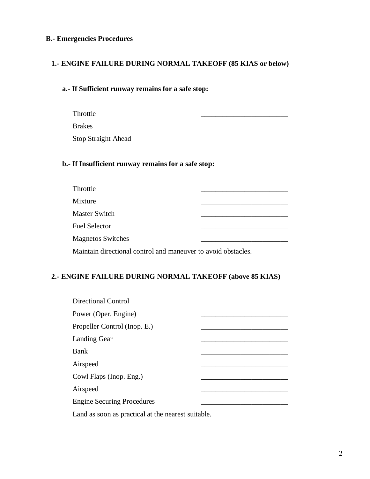## **B.- Emergencies Procedures**

## **1.- ENGINE FAILURE DURING NORMAL TAKEOFF (85 KIAS or below)**

#### **a.- If Sufficient runway remains for a safe stop:**

- Throttle \_\_\_\_\_\_\_\_\_\_\_\_\_\_\_\_\_\_\_\_\_\_\_\_
- Brakes \_\_\_\_\_\_\_\_\_\_\_\_\_\_\_\_\_\_\_\_\_\_\_\_

Stop Straight Ahead

#### **b.- If Insufficient runway remains for a safe stop:**

| Throttle                 |  |
|--------------------------|--|
| Mixture                  |  |
| Master Switch            |  |
| <b>Fuel Selector</b>     |  |
| <b>Magnetos Switches</b> |  |
|                          |  |

Maintain directional control and maneuver to avoid obstacles.

#### **2.- ENGINE FAILURE DURING NORMAL TAKEOFF (above 85 KIAS)**

| <b>Directional Control</b>                                                                                     |  |
|----------------------------------------------------------------------------------------------------------------|--|
| Power (Oper. Engine)                                                                                           |  |
| Propeller Control (Inop. E.)                                                                                   |  |
| <b>Landing Gear</b>                                                                                            |  |
| Bank                                                                                                           |  |
| Airspeed                                                                                                       |  |
| Cowl Flaps (Inop. Eng.)                                                                                        |  |
| Airspeed                                                                                                       |  |
| <b>Engine Securing Procedures</b>                                                                              |  |
| 로 1000 - 1000 - 1000 - 1000 - 1000 - 1000 - 1000 - 1000 - 1000 - 1000 - 1000 - 1000 - 1000 - 1000 - 1000 - 100 |  |

Land as soon as practical at the nearest suitable.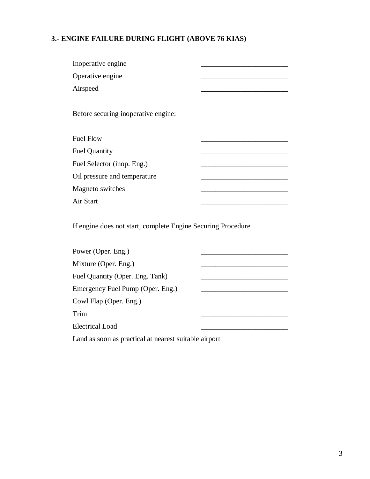# **3.- ENGINE FAILURE DURING FLIGHT (ABOVE 76 KIAS)**

| Inoperative engine                                           |  |
|--------------------------------------------------------------|--|
| Operative engine                                             |  |
| Airspeed                                                     |  |
|                                                              |  |
| Before securing inoperative engine:                          |  |
|                                                              |  |
| <b>Fuel Flow</b>                                             |  |
| <b>Fuel Quantity</b>                                         |  |
| Fuel Selector (inop. Eng.)                                   |  |
| Oil pressure and temperature                                 |  |
| Magneto switches                                             |  |
| Air Start                                                    |  |
|                                                              |  |
| If engine does not start, complete Engine Securing Procedure |  |
|                                                              |  |
| Power (Oper. Eng.)                                           |  |
| Mixture (Oper. Eng.)                                         |  |
| Fuel Quantity (Oper. Eng. Tank)                              |  |
| Emergency Fuel Pump (Oper. Eng.)                             |  |
| Cowl Flap (Oper. Eng.)                                       |  |
| Trim                                                         |  |
| <b>Electrical Load</b>                                       |  |
|                                                              |  |

Land as soon as practical at nearest suitable airport